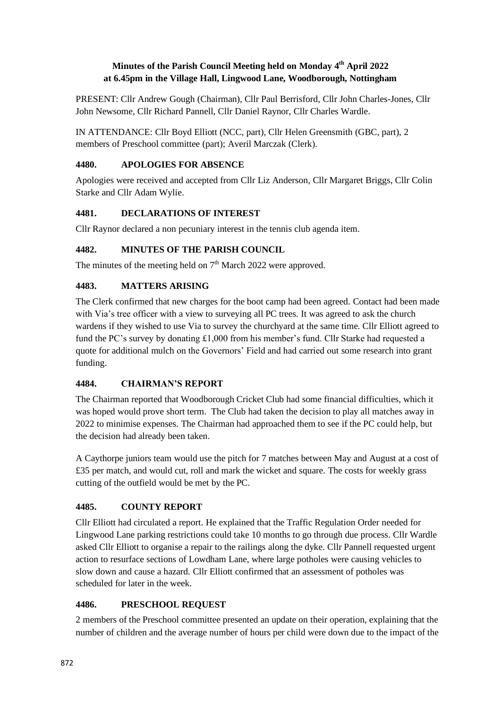#### **Minutes of the Parish Council Meeting held on Monday 4 th April 2022 at 6.45pm in the Village Hall, Lingwood Lane, Woodborough, Nottingham**

PRESENT: Cllr Andrew Gough (Chairman), Cllr Paul Berrisford, Cllr John Charles-Jones, Cllr John Newsome, Cllr Richard Pannell, Cllr Daniel Raynor, Cllr Charles Wardle.

IN ATTENDANCE: Cllr Boyd Elliott (NCC, part), Cllr Helen Greensmith (GBC, part), 2 members of Preschool committee (part); Averil Marczak (Clerk).

### **4480. APOLOGIES FOR ABSENCE**

Apologies were received and accepted from Cllr Liz Anderson, Cllr Margaret Briggs, Cllr Colin Starke and Cllr Adam Wylie.

### **4481. DECLARATIONS OF INTEREST**

Cllr Raynor declared a non pecuniary interest in the tennis club agenda item.

### **4482. MINUTES OF THE PARISH COUNCIL**

The minutes of the meeting held on  $7<sup>th</sup>$  March 2022 were approved.

### **4483. MATTERS ARISING**

The Clerk confirmed that new charges for the boot camp had been agreed. Contact had been made with Via's tree officer with a view to surveying all PC trees. It was agreed to ask the church wardens if they wished to use Via to survey the churchyard at the same time. Cllr Elliott agreed to fund the PC's survey by donating £1,000 from his member's fund. Cllr Starke had requested a quote for additional mulch on the Governors' Field and had carried out some research into grant funding.

### **4484. CHAIRMAN'S REPORT**

The Chairman reported that Woodborough Cricket Club had some financial difficulties, which it was hoped would prove short term. The Club had taken the decision to play all matches away in 2022 to minimise expenses. The Chairman had approached them to see if the PC could help, but the decision had already been taken.

A Caythorpe juniors team would use the pitch for 7 matches between May and August at a cost of £35 per match, and would cut, roll and mark the wicket and square. The costs for weekly grass cutting of the outfield would be met by the PC.

### **4485. COUNTY REPORT**

Cllr Elliott had circulated a report. He explained that the Traffic Regulation Order needed for Lingwood Lane parking restrictions could take 10 months to go through due process. Cllr Wardle asked Cllr Elliott to organise a repair to the railings along the dyke. Cllr Pannell requested urgent action to resurface sections of Lowdham Lane, where large potholes were causing vehicles to slow down and cause a hazard. Cllr Elliott confirmed that an assessment of potholes was scheduled for later in the week.

### **4486. PRESCHOOL REQUEST**

2 members of the Preschool committee presented an update on their operation, explaining that the number of children and the average number of hours per child were down due to the impact of the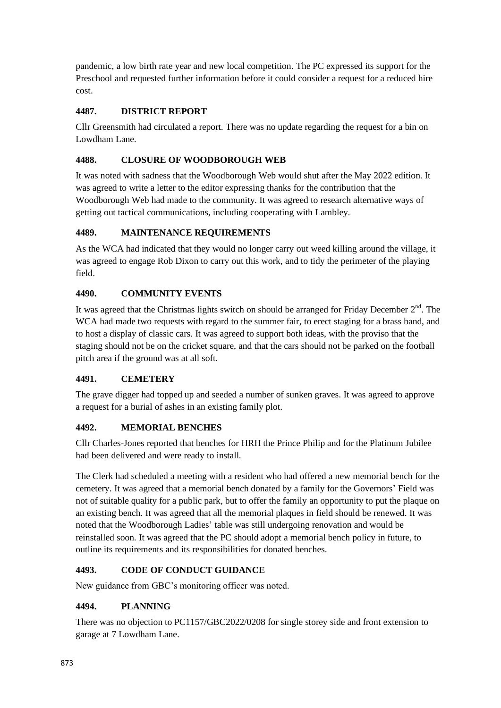pandemic, a low birth rate year and new local competition. The PC expressed its support for the Preschool and requested further information before it could consider a request for a reduced hire cost.

## **4487. DISTRICT REPORT**

Cllr Greensmith had circulated a report. There was no update regarding the request for a bin on Lowdham Lane.

## **4488. CLOSURE OF WOODBOROUGH WEB**

It was noted with sadness that the Woodborough Web would shut after the May 2022 edition. It was agreed to write a letter to the editor expressing thanks for the contribution that the Woodborough Web had made to the community. It was agreed to research alternative ways of getting out tactical communications, including cooperating with Lambley.

# **4489. MAINTENANCE REQUIREMENTS**

As the WCA had indicated that they would no longer carry out weed killing around the village, it was agreed to engage Rob Dixon to carry out this work, and to tidy the perimeter of the playing field.

# **4490. COMMUNITY EVENTS**

It was agreed that the Christmas lights switch on should be arranged for Friday December  $2<sup>nd</sup>$ . The WCA had made two requests with regard to the summer fair, to erect staging for a brass band, and to host a display of classic cars. It was agreed to support both ideas, with the proviso that the staging should not be on the cricket square, and that the cars should not be parked on the football pitch area if the ground was at all soft.

### **4491. CEMETERY**

The grave digger had topped up and seeded a number of sunken graves. It was agreed to approve a request for a burial of ashes in an existing family plot.

# **4492. MEMORIAL BENCHES**

Cllr Charles-Jones reported that benches for HRH the Prince Philip and for the Platinum Jubilee had been delivered and were ready to install.

The Clerk had scheduled a meeting with a resident who had offered a new memorial bench for the cemetery. It was agreed that a memorial bench donated by a family for the Governors' Field was not of suitable quality for a public park, but to offer the family an opportunity to put the plaque on an existing bench. It was agreed that all the memorial plaques in field should be renewed. It was noted that the Woodborough Ladies' table was still undergoing renovation and would be reinstalled soon. It was agreed that the PC should adopt a memorial bench policy in future, to outline its requirements and its responsibilities for donated benches.

# **4493. CODE OF CONDUCT GUIDANCE**

New guidance from GBC's monitoring officer was noted.

### **4494. PLANNING**

There was no objection to PC1157/GBC2022/0208 for single storey side and front extension to garage at 7 Lowdham Lane.